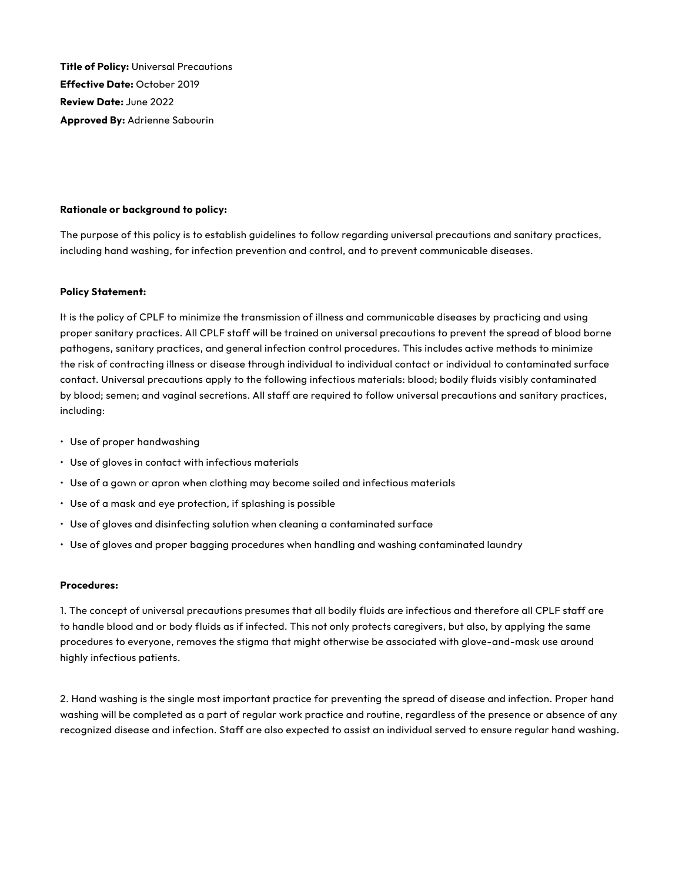**Title of Policy:** Universal Precautions **Effective Date:** October 2019 **Review Date:** June 2022 **Approved By:** Adrienne Sabourin

#### **Rationale or background to policy:**

The purpose of this policy is to establish guidelines to follow regarding universal precautions and sanitary practices, including hand washing, for infection prevention and control, and to prevent communicable diseases.

#### **Policy Statement:**

It is the policy of CPLF to minimize the transmission of illness and communicable diseases by practicing and using proper sanitary practices. All CPLF staff will be trained on universal precautions to prevent the spread of blood borne pathogens, sanitary practices, and general infection control procedures. This includes active methods to minimize the risk of contracting illness or disease through individual to individual contact or individual to contaminated surface contact. Universal precautions apply to the following infectious materials: blood; bodily fluids visibly contaminated by blood; semen; and vaginal secretions. All staff are required to follow universal precautions and sanitary practices, including:

- Use of proper handwashing
- Use of gloves in contact with infectious materials
- Use of a gown or apron when clothing may become soiled and infectious materials
- Use of a mask and eye protection, if splashing is possible
- Use of gloves and disinfecting solution when cleaning a contaminated surface
- Use of gloves and proper bagging procedures when handling and washing contaminated laundry

#### **Procedures:**

1. The concept of universal precautions presumes that all bodily fluids are infectious and therefore all CPLF staff are to handle blood and or body fluids as if infected. This not only protects caregivers, but also, by applying the same procedures to everyone, removes the stigma that might otherwise be associated with glove-and-mask use around highly infectious patients.

2. Hand washing is the single most important practice for preventing the spread of disease and infection. Proper hand washing will be completed as a part of regular work practice and routine, regardless of the presence or absence of any recognized disease and infection. Staff are also expected to assist an individual served to ensure regular hand washing.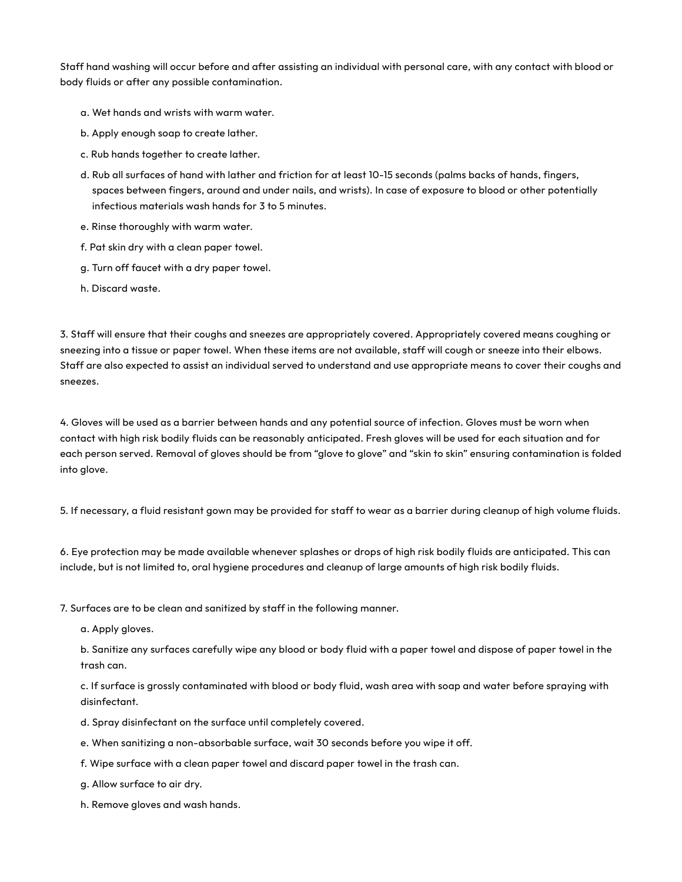Staff hand washing will occur before and after assisting an individual with personal care, with any contact with blood or body fluids or after any possible contamination.

- a. Wet hands and wrists with warm water.
- b. Apply enough soap to create lather.
- c. Rub hands together to create lather.
- d. Rub all surfaces of hand with lather and friction for at least 10-15 seconds (palms backs of hands, fingers, spaces between fingers, around and under nails, and wrists). In case of exposure to blood or other potentially infectious materials wash hands for 3 to 5 minutes.
- e. Rinse thoroughly with warm water.
- f. Pat skin dry with a clean paper towel.
- g. Turn off faucet with a dry paper towel.
- h. Discard waste.

3. Staff will ensure that their coughs and sneezes are appropriately covered. Appropriately covered means coughing or sneezing into a tissue or paper towel. When these items are not available, staff will cough or sneeze into their elbows. Staff are also expected to assist an individual served to understand and use appropriate means to cover their coughs and sneezes.

4. Gloves will be used as a barrier between hands and any potential source of infection. Gloves must be worn when contact with high risk bodily fluids can be reasonably anticipated. Fresh gloves will be used for each situation and for each person served. Removal of gloves should be from "glove to glove" and "skin to skin" ensuring contamination is folded into glove.

5. If necessary, a fluid resistant gown may be provided for staff to wear as a barrier during cleanup of high volume fluids.

6. Eye protection may be made available whenever splashes or drops of high risk bodily fluids are anticipated. This can include, but is not limited to, oral hygiene procedures and cleanup of large amounts of high risk bodily fluids.

7. Surfaces are to be clean and sanitized by staff in the following manner.

a. Apply gloves.

 b. Sanitize any surfaces carefully wipe any blood or body fluid with a paper towel and dispose of paper towel in the trash can.

 c. If surface is grossly contaminated with blood or body fluid, wash area with soap and water before spraying with disinfectant.

- d. Spray disinfectant on the surface until completely covered.
- e. When sanitizing a non-absorbable surface, wait 30 seconds before you wipe it off.
- f. Wipe surface with a clean paper towel and discard paper towel in the trash can.
- g. Allow surface to air dry.
- h. Remove gloves and wash hands.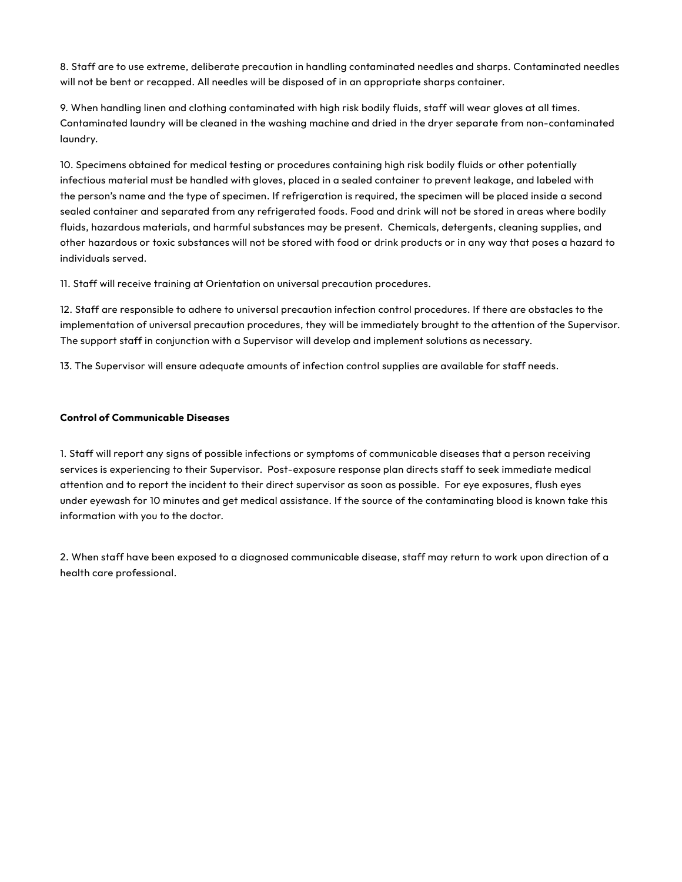8. Staff are to use extreme, deliberate precaution in handling contaminated needles and sharps. Contaminated needles will not be bent or recapped. All needles will be disposed of in an appropriate sharps container.

9. When handling linen and clothing contaminated with high risk bodily fluids, staff will wear gloves at all times. Contaminated laundry will be cleaned in the washing machine and dried in the dryer separate from non-contaminated laundry.

10. Specimens obtained for medical testing or procedures containing high risk bodily fluids or other potentially infectious material must be handled with gloves, placed in a sealed container to prevent leakage, and labeled with the person's name and the type of specimen. If refrigeration is required, the specimen will be placed inside a second sealed container and separated from any refrigerated foods. Food and drink will not be stored in areas where bodily fluids, hazardous materials, and harmful substances may be present. Chemicals, detergents, cleaning supplies, and other hazardous or toxic substances will not be stored with food or drink products or in any way that poses a hazard to individuals served.

11. Staff will receive training at Orientation on universal precaution procedures.

12. Staff are responsible to adhere to universal precaution infection control procedures. If there are obstacles to the implementation of universal precaution procedures, they will be immediately brought to the attention of the Supervisor. The support staff in conjunction with a Supervisor will develop and implement solutions as necessary.

13. The Supervisor will ensure adequate amounts of infection control supplies are available for staff needs.

### **Control of Communicable Diseases**

1. Staff will report any signs of possible infections or symptoms of communicable diseases that a person receiving services is experiencing to their Supervisor. Post-exposure response plan directs staff to seek immediate medical attention and to report the incident to their direct supervisor as soon as possible. For eye exposures, flush eyes under eyewash for 10 minutes and get medical assistance. If the source of the contaminating blood is known take this information with you to the doctor.

2. When staff have been exposed to a diagnosed communicable disease, staff may return to work upon direction of a health care professional.